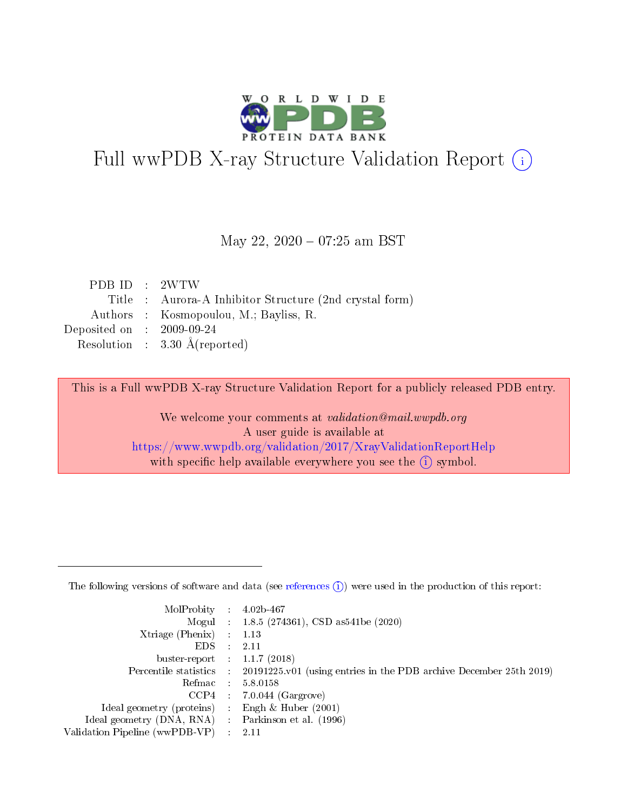

# Full wwPDB X-ray Structure Validation Report (i)

#### May 22, 2020 - 07:25 am BST

| PDBID : 2WTW                |                                                         |
|-----------------------------|---------------------------------------------------------|
|                             | Title : Aurora-A Inhibitor Structure (2nd crystal form) |
|                             | Authors : Kosmopoulou, M.; Bayliss, R.                  |
| Deposited on : $2009-09-24$ |                                                         |
|                             | Resolution : $3.30 \text{ Å}$ (reported)                |
|                             |                                                         |

This is a Full wwPDB X-ray Structure Validation Report for a publicly released PDB entry.

We welcome your comments at validation@mail.wwpdb.org A user guide is available at <https://www.wwpdb.org/validation/2017/XrayValidationReportHelp> with specific help available everywhere you see the  $(i)$  symbol.

The following versions of software and data (see [references](https://www.wwpdb.org/validation/2017/XrayValidationReportHelp#references)  $(1)$ ) were used in the production of this report:

| MolProbity :                   |               | $4.02b - 467$                                                               |
|--------------------------------|---------------|-----------------------------------------------------------------------------|
|                                |               | Mogul : $1.8.5$ (274361), CSD as 541be (2020)                               |
| $X$ triage (Phenix) :          |               | 1.13                                                                        |
| EDS.                           |               | 2.11                                                                        |
| buster-report : $1.1.7$ (2018) |               |                                                                             |
| Percentile statistics :        |               | $20191225 \text{v}01$ (using entries in the PDB archive December 25th 2019) |
| Refmac :                       |               | 5.8.0158                                                                    |
| $CCP4$ :                       |               | $7.0.044$ (Gargrove)                                                        |
| Ideal geometry (proteins) :    |               | Engh $\&$ Huber (2001)                                                      |
| Ideal geometry (DNA, RNA) :    |               | Parkinson et al. (1996)                                                     |
| Validation Pipeline (wwPDB-VP) | $\mathcal{L}$ | 2.11                                                                        |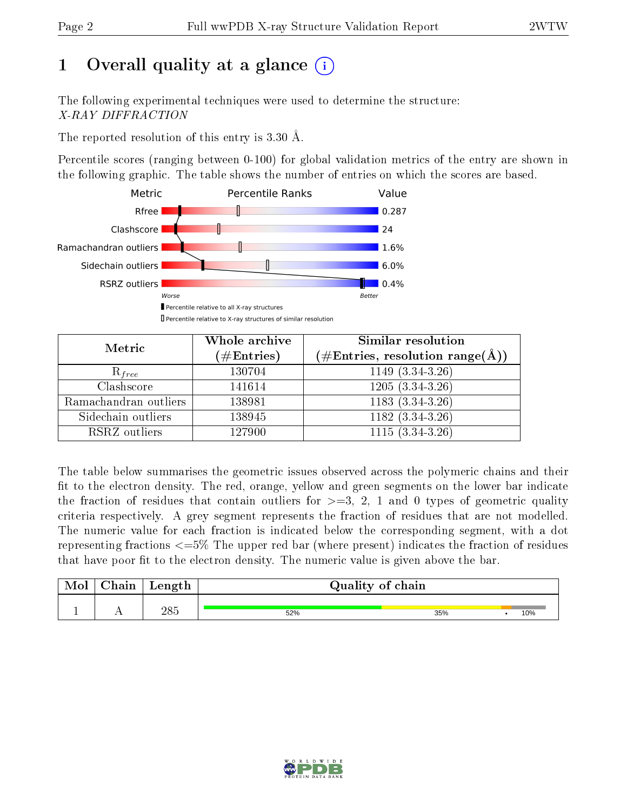# 1 [O](https://www.wwpdb.org/validation/2017/XrayValidationReportHelp#overall_quality)verall quality at a glance  $(i)$

The following experimental techniques were used to determine the structure: X-RAY DIFFRACTION

The reported resolution of this entry is 3.30 Å.

Percentile scores (ranging between 0-100) for global validation metrics of the entry are shown in the following graphic. The table shows the number of entries on which the scores are based.



| Metric                | Whole archive<br>$(\#\mathrm{Entries})$ | <b>Similar resolution</b><br>$(\#\text{Entries}, \, \text{resolution range}(\textup{\AA}))$ |  |  |
|-----------------------|-----------------------------------------|---------------------------------------------------------------------------------------------|--|--|
| $R_{free}$            | 130704                                  | $1149(3.34-3.26)$                                                                           |  |  |
| Clashscore            | 141614                                  | $1205(3.34-3.26)$                                                                           |  |  |
| Ramachandran outliers | 138981                                  | $1183(3.34-3.26)$                                                                           |  |  |
| Sidechain outliers    | 138945                                  | $1182(3.34-3.26)$                                                                           |  |  |
| RSRZ outliers         | 127900                                  | $1115(3.34-3.26)$                                                                           |  |  |

The table below summarises the geometric issues observed across the polymeric chains and their fit to the electron density. The red, orange, yellow and green segments on the lower bar indicate the fraction of residues that contain outliers for  $>=3, 2, 1$  and 0 types of geometric quality criteria respectively. A grey segment represents the fraction of residues that are not modelled. The numeric value for each fraction is indicated below the corresponding segment, with a dot representing fractions  $\epsilon=5\%$  The upper red bar (where present) indicates the fraction of residues that have poor fit to the electron density. The numeric value is given above the bar.

| Mol       | $\gamma$ hain | Length | Quality of chain |     |     |
|-----------|---------------|--------|------------------|-----|-----|
| <u>д.</u> | . .           | 285    | 52%              | 35% | 10% |

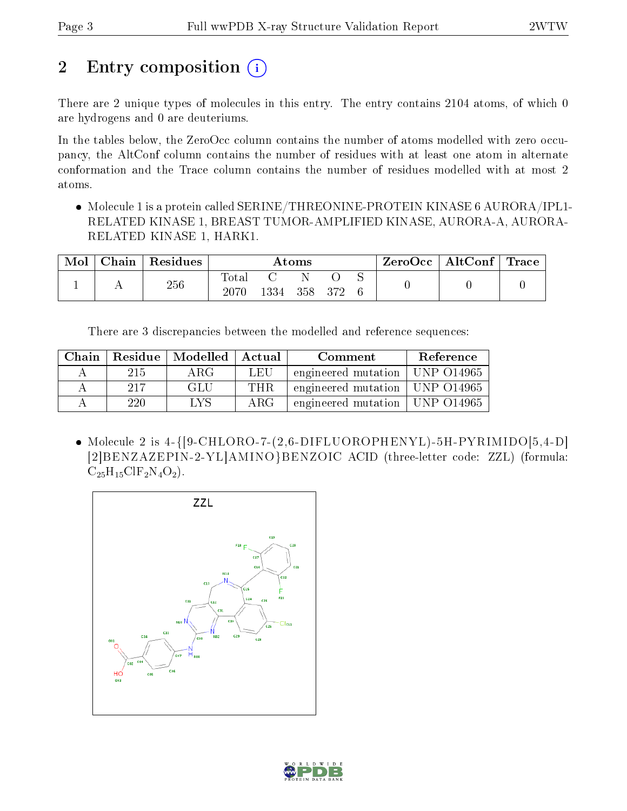# 2 Entry composition  $\left( \cdot \right)$

There are 2 unique types of molecules in this entry. The entry contains 2104 atoms, of which 0 are hydrogens and 0 are deuteriums.

In the tables below, the ZeroOcc column contains the number of atoms modelled with zero occupancy, the AltConf column contains the number of residues with at least one atom in alternate conformation and the Trace column contains the number of residues modelled with at most 2 atoms.

 Molecule 1 is a protein called SERINE/THREONINE-PROTEIN KINASE 6 AURORA/IPL1- RELATED KINASE 1, BREAST TUMOR-AMPLIFIED KINASE, AURORA-A, AURORA-RELATED KINASE 1, HARK1.

| Mol | Chain | Residues | Atoms               |      |     |     |  | ZeroOcc | $\mid$ AltConf $\mid$ Trace |  |
|-----|-------|----------|---------------------|------|-----|-----|--|---------|-----------------------------|--|
|     |       | 256      | $\rm Total$<br>2070 | 1334 | 358 | 372 |  |         |                             |  |

There are 3 discrepancies between the modelled and reference sequences:

| Chain |     | Residue   Modelled   Actual |      | Comment                          | Reference |
|-------|-----|-----------------------------|------|----------------------------------|-----------|
|       | 215 | ARG                         | LEU  | engineered mutation   UNP 014965 |           |
|       | 217 | GLU                         | THR. | engineered mutation   UNP 014965 |           |
|       | 220 | LVS                         | ARG  | engineered mutation   UNP 014965 |           |

• Molecule 2 is  $4-\left\{ \left[9\text{-CHLORO-7-}(2,6-\text{DIFLUOROPHENYL})-5\text{H-PYRIMIDO}[5,4-D]\right.\right.$ [2]BENZAZEPIN-2-YL]AMINO}BENZOIC ACID (three-letter code: ZZL) (formula:  $C_{25}H_{15}CIF_2N_4O_2$ .



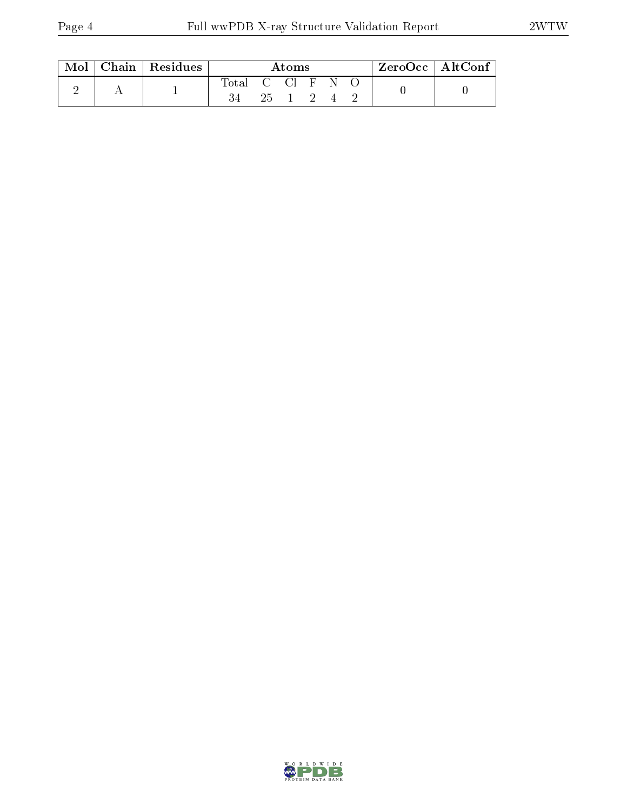| $\text{Mol}$ | Chain   Residues | Atoms                              |  |          |  | $\rm ZeroOcc$   $\rm AltConf$ |  |  |  |
|--------------|------------------|------------------------------------|--|----------|--|-------------------------------|--|--|--|
|              |                  | Total C Cl $F \nightharpoonup N$ O |  | 25 1 2 4 |  |                               |  |  |  |

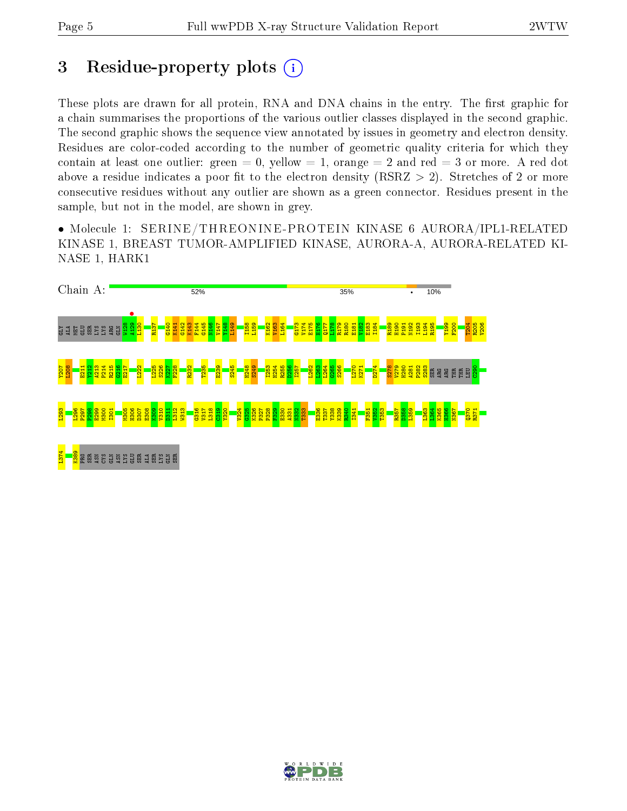# 3 Residue-property plots  $(i)$

These plots are drawn for all protein, RNA and DNA chains in the entry. The first graphic for a chain summarises the proportions of the various outlier classes displayed in the second graphic. The second graphic shows the sequence view annotated by issues in geometry and electron density. Residues are color-coded according to the number of geometric quality criteria for which they contain at least one outlier: green  $= 0$ , yellow  $= 1$ , orange  $= 2$  and red  $= 3$  or more. A red dot above a residue indicates a poor fit to the electron density (RSRZ  $> 2$ ). Stretches of 2 or more consecutive residues without any outlier are shown as a green connector. Residues present in the sample, but not in the model, are shown in grey.

• Molecule 1: SERINE/THREONINE -PROTEIN KINASE 6 AURORA/IPL1-RELATED KINASE 1, BREAST TUMOR-AMPLIFIED KINASE, AURORA-A, AURORA-RELATED KI-NASE 1, HARK1



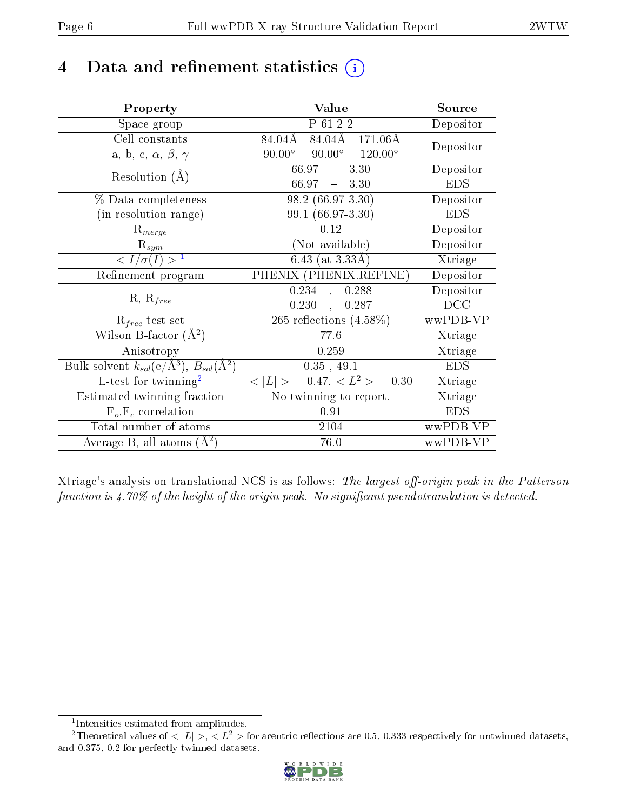# 4 Data and refinement statistics  $(i)$

| Property                                                             | Value                                               | Source     |
|----------------------------------------------------------------------|-----------------------------------------------------|------------|
| Space group                                                          | P 61 2 2                                            | Depositor  |
| Cell constants                                                       | $84.04\AA$ $84.04\AA$ $171.06\AA$                   | Depositor  |
| a, b, c, $\alpha$ , $\beta$ , $\gamma$                               | $90.00^{\circ}$ $120.00^{\circ}$<br>$90.00^{\circ}$ |            |
| Resolution $(A)$                                                     | 66.97<br>$-3.30$                                    | Depositor  |
|                                                                      | $66.97 - 3.30$                                      | <b>EDS</b> |
| $\%$ Data completeness                                               | $98.2(66.97-3.30)$                                  | Depositor  |
| (in resolution range)                                                | 99.1 (66.97-3.30)                                   | <b>EDS</b> |
| $R_{merge}$                                                          | 0.12                                                | Depositor  |
| $\mathrm{R}_{sym}$                                                   | (Not available)                                     | Depositor  |
| $\langle I/\sigma(I) \rangle^{-1}$                                   | $6.43$ (at 3.33Å)                                   | Xtriage    |
| Refinement program                                                   | PHENIX (PHENIX.REFINE)                              | Depositor  |
|                                                                      | 0.234<br>0.288<br>$\overline{\mathcal{L}}$          | Depositor  |
| $R, R_{free}$                                                        | $0.230$ ,<br>0.287                                  | DCC        |
| $R_{free}$ test set                                                  | 265 reflections $(4.58\%)$                          | wwPDB-VP   |
| Wilson B-factor $(A^2)$                                              | 77.6                                                | Xtriage    |
| Anisotropy                                                           | 0.259                                               | Xtriage    |
| Bulk solvent $k_{sol}(e/\mathring{A}^3)$ , $B_{sol}(\mathring{A}^2)$ | 0.35, 49.1                                          | <b>EDS</b> |
| L-test for $\overline{\text{twinning}}^2$                            | $< L >$ = 0.47, $< L2 >$ = 0.30                     | Xtriage    |
| Estimated twinning fraction                                          | No twinning to report.                              | Xtriage    |
| $\overline{F_o}, \overline{F_c}$ correlation                         | 0.91                                                | <b>EDS</b> |
| Total number of atoms                                                | 2104                                                | wwPDB-VP   |
| Average B, all atoms $(A^2)$                                         | 76.0                                                | wwPDB-VP   |

Xtriage's analysis on translational NCS is as follows: The largest off-origin peak in the Patterson function is  $4.70\%$  of the height of the origin peak. No significant pseudotranslation is detected.

<sup>&</sup>lt;sup>2</sup>Theoretical values of  $\langle |L| \rangle$ ,  $\langle L^2 \rangle$  for acentric reflections are 0.5, 0.333 respectively for untwinned datasets, and 0.375, 0.2 for perfectly twinned datasets.



<span id="page-5-1"></span><span id="page-5-0"></span><sup>1</sup> Intensities estimated from amplitudes.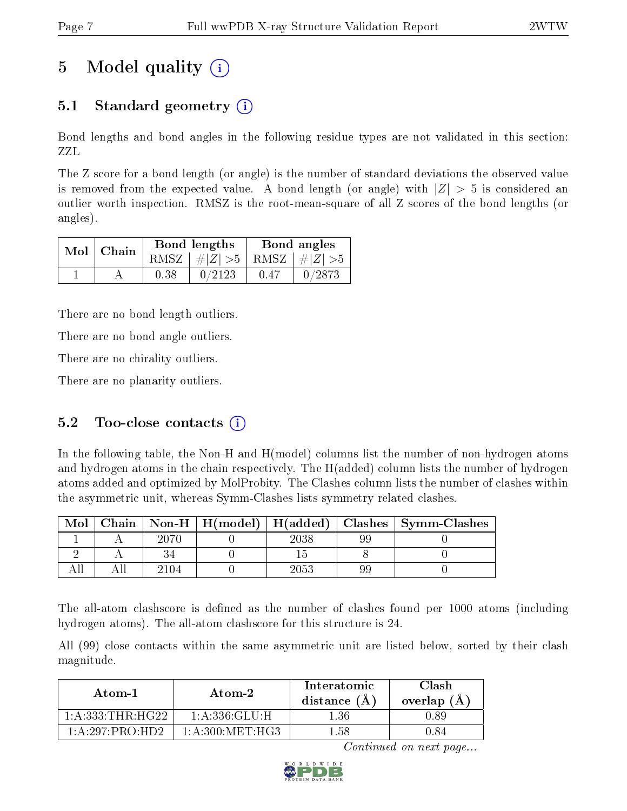# 5 Model quality  $(i)$

### 5.1 Standard geometry (i)

Bond lengths and bond angles in the following residue types are not validated in this section: ZZL

The Z score for a bond length (or angle) is the number of standard deviations the observed value is removed from the expected value. A bond length (or angle) with  $|Z| > 5$  is considered an outlier worth inspection. RMSZ is the root-mean-square of all Z scores of the bond lengths (or angles).

| $Mol$   Chain |      | Bond lengths                    | Bond angles |        |  |
|---------------|------|---------------------------------|-------------|--------|--|
|               |      | RMSZ $ #Z  > 5$ RMSZ $ #Z  > 5$ |             |        |  |
|               | 0.38 | 0/2123                          | 0.47        | 0/2873 |  |

There are no bond length outliers.

There are no bond angle outliers.

There are no chirality outliers.

There are no planarity outliers.

#### 5.2 Too-close contacts  $(i)$

In the following table, the Non-H and H(model) columns list the number of non-hydrogen atoms and hydrogen atoms in the chain respectively. The H(added) column lists the number of hydrogen atoms added and optimized by MolProbity. The Clashes column lists the number of clashes within the asymmetric unit, whereas Symm-Clashes lists symmetry related clashes.

| Mol |      |      |    | Chain   Non-H   H(model)   H(added)   Clashes   Symm-Clashes |
|-----|------|------|----|--------------------------------------------------------------|
|     |      | 2038 |    |                                                              |
|     |      |      |    |                                                              |
|     | 2104 | 2053 | 99 |                                                              |

The all-atom clashscore is defined as the number of clashes found per 1000 atoms (including hydrogen atoms). The all-atom clashscore for this structure is 24.

All (99) close contacts within the same asymmetric unit are listed below, sorted by their clash magnitude.

| Atom-1             | Atom-2           |      | Clash<br>overlap $(A)$ |
|--------------------|------------------|------|------------------------|
| 1:A:333:THR:HG     | 1: A: 336: GLU:H | L 36 | 1.89                   |
| $1:$ A:297:PRO:HD2 | 1: A:300:MET:HG3 | 1.58 | 1.84                   |

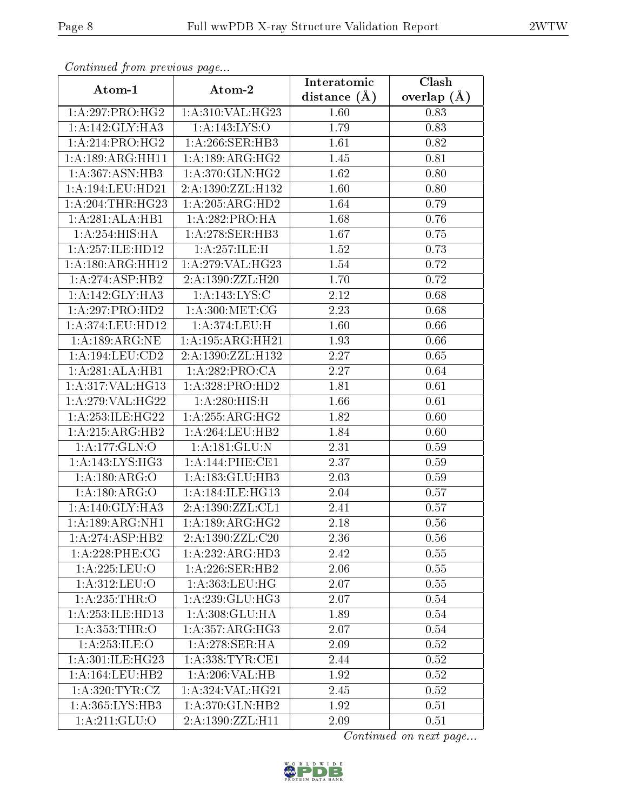| Communa from previous page    |                                      | Interatomic       | Clash         |
|-------------------------------|--------------------------------------|-------------------|---------------|
| Atom-1                        | Atom-2                               | distance $(A)$    | overlap $(A)$ |
| 1:A:297:PRO:HG2               | $1:A:310:\overline{\text{VAL}:HG23}$ | 1.60              | 0.83          |
| 1: A:142: GLY:HA3             | 1:A:143:LYS:O                        | $\overline{1}.79$ | 0.83          |
| 1: A:214:PRO:HG2              | 1:A:266:SER:HB3                      | 1.61              | 0.82          |
| 1:A:189:ARG:HH11              | 1:A:189:ARG:HG2                      | 1.45              | 0.81          |
| $1:A:367:\overline{ASN:HB3}$  | 1: A:370: GLN: HG2                   | 1.62              | 0.80          |
| 1: A:194:LEU:HD21             | 2:A:1390:ZZL:H132                    | 1.60              | 0.80          |
| 1:A:204:THR:HG23              | 1:A:205:ARG:HD2                      | 1.64              | 0.79          |
| 1:A:281:ALA:HB1               | 1:A:282:PRO:HA                       | 1.68              | 0.76          |
| 1: A:254: HIS: HA             | 1:A:278:SER:HB3                      | 1.67              | 0.75          |
| 1:A:257:ILE:HD12              | 1: A:257: ILE:H                      | 1.52              | 0.73          |
| 1:A:180:ARG:HH12              | 1:A:279:VAL:HG23                     | 1.54              | 0.72          |
| 1:A:274:ASP:HB2               | 2:A:1390:ZZL:H20                     | 1.70              | 0.72          |
| 1:A:142:GLY:HA3               | 1:A:143:LYS:C                        | 2.12              | 0.68          |
| 1:A:297:PRO:HD2               | 1: A:300:MET:CG                      | 2.23              | 0.68          |
| $1:A:374:LEU:H\overline{D12}$ | 1:A:374:LEU:H                        | 1.60              | 0.66          |
| 1: A:189:ARG:NE               | 1:A:195:ARG:HH21                     | 1.93              | 0.66          |
| 1:A:194:LEU:CD2               | 2:A:1390:ZZL:H132                    | 2.27              | 0.65          |
| 1:A:281:ALA:HB1               | 1:A:282:PRO:CA                       | 2.27              | 0.64          |
| 1:A:317:VAL:HG13              | 1:A:328:PRO:HD2                      | 1.81              | 0.61          |
| 1: A:279: VAL:HG22            | 1: A:280:HIS:H                       | 1.66              | 0.61          |
| 1: A:253: ILE: HG22           | 1: A:255: ARG:HG2                    | 1.82              | 0.60          |
| 1:A:215:ARG:HB2               | 1:A:264:LEU:HB2                      | 1.84              | 0.60          |
| 1:A:177:GLN:O                 | 1: A: 181: GLU: N                    | 2.31              | 0.59          |
| 1: A:143: LYS: HG3            | 1:A:144:PHE:CE1                      | 2.37              | 0.59          |
| 1:A:180:ARG:O                 | 1: A: 183: GLU: HB3                  | 2.03              | 0.59          |
| 1:A:180:ARG:O                 | 1: A:184: ILE: HG13                  | 2.04              | 0.57          |
| 1: A:140: GLY:HA3             | 2:A:1390:ZZL:CL1                     | 2.41              | 0.57          |
| 1:A:189:ARG:NH1               | 1:A:189:ARG:HG2                      | 2.18              | 0.56          |
| 1:A:274:ASP:HB2               | 2:A:1390:ZZL:C20                     | 2.36              | 0.56          |
| $1: A:228:$ PHE:CG            | 1:A:232:ARG:HD3                      | 2.42              | 0.55          |
| 1:A:225:LEU:O                 | 1:A:226:SER:HB2                      | 2.06              | 0.55          |
| 1:A:312:LEU:O                 | 1:A:363:LEU:HG                       | 2.07              | 0.55          |
| 1: A:235:THR:O                | 1:A:239:GLU:HG3                      | 2.07              | $0.54\,$      |
| 1:A:253:ILE:HDI3              | 1:A:308:GLU:HA                       | 1.89              | $0.54\,$      |
| 1: A: 353: THR:O              | 1: A:357: ARG:HG3                    | 2.07              | 0.54          |
| 1:A:253:ILE:O                 | 1: A:278: <b>SER</b> : <b>HA</b>     | 2.09              | 0.52          |
| 1: A:301: ILE: HG23           | 1: A: 338: TYR: CE1                  | 2.44              | 0.52          |
| 1:A:164:LEU:HB2               | 1: A:206: VAL:HB                     | 1.92              | 0.52          |
| 1: A:320: TYR: CZ             | 1:A:324:VAL:HG21                     | 2.45              | 0.52          |
| 1:A:365:LYS:HB3               | 1:A:370:GLN:HB2                      | 1.92              | 0.51          |
| 1: A:211: GLU:O               | 2:A:1390:ZZL:H11                     | 2.09              | 0.51          |

Continued from previous page.

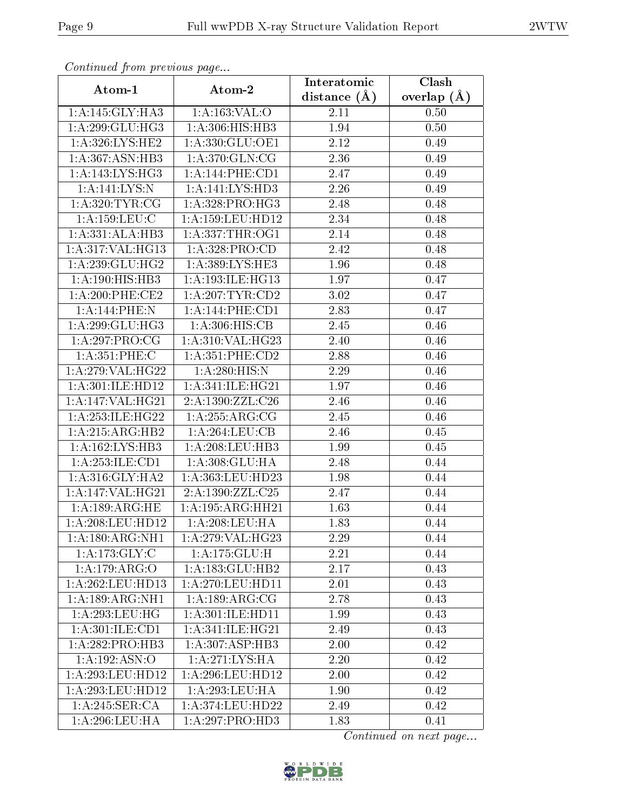| Continuea from previous page |                                                  | Interatomic      | $\overline{\text{Clash}}$ |
|------------------------------|--------------------------------------------------|------------------|---------------------------|
| Atom-1                       | Atom-2                                           | distance $(\AA)$ | overlap $(A)$             |
| 1:A:145:GLY:HA3              | 1:A:163:VAL:O                                    | 2.11             | 0.50                      |
| 1: A:299: GLU: HG3           | 1:A:306:HIS:HB3                                  | 1.94             | 0.50                      |
| 1:A:326:LYS:HE2              | 1:A:330:GLU:OE1                                  | 2.12             | 0.49                      |
| 1:A:367:ASN:HB3              | 1:A:370:GLN:CG                                   | 2.36             | 0.49                      |
| 1:A:143:LYS:HG3              | 1: A:144:PHE:CD1                                 | 2.47             | 0.49                      |
| 1:A:141:LYS:N                | 1:A:141:LYS:HD3                                  | 2.26             | 0.49                      |
| 1: A:320: TYR: CG            | 1:A:328:PRO:H <sub>G3</sub>                      | 2.48             | 0.48                      |
| 1: A:159:LEU: C              | 1: A: 159: LEU: HD12                             | 2.34             | 0.48                      |
| 1:A:331:ALA:HB3              | 1: A: 337: THR: OG1                              | 2.14             | 0.48                      |
| 1:A:317:VAL:HG13             | 1: A: 328: PRO:CD                                | 2.42             | 0.48                      |
| 1: A:239: GLU:HG2            | 1: A:389: LYS: HE3                               | 1.96             | 0.48                      |
| 1: A:190:HIS:HB3             | 1: A:193: ILE: HG13                              | 1.97             | 0.47                      |
| $1: A:200:$ PHE:CE2          | 1:A:207:TYR:CD2                                  | 3.02             | 0.47                      |
| 1:A:144:PHE:N                | 1: A:144: PHE:CD1                                | 2.83             | 0.47                      |
| 1: A:299: GLU:HG3            | 1:A:306:HIS:CB                                   | 2.45             | 0.46                      |
| 1: A:297:PRO:CG              | 1:A:310:VAL:HG23                                 | 2.40             | 0.46                      |
| 1:A:351:PHE:C                | 1:A:351:PHE:CD2                                  | 2.88             | 0.46                      |
| 1:A:279:VAL:HG22             | 1: A:280:HIS:N                                   | 2.29             | 0.46                      |
| 1:A:301:ILE:HD12             | 1:A:341:ILE:HG21                                 | 1.97             | 0.46                      |
| 1:A:147:VAL:HG21             | 2:A:1390:ZZL:C26                                 | 2.46             | 0.46                      |
| 1: A:253: ILE: HG22          | 1:A:255:ARG:CG                                   | 2.45             | 0.46                      |
| 1:A:215:ARG:HB2              | $1:A:264:\overline{\text{LEU}:CB}$               | 2.46             | 0.45                      |
| 1:A:162:LYS:HB3              | 1: A:208:LEU:HB3                                 | 1.99             | 0.45                      |
| 1:A:253:ILE:CD1              | 1:A:308:GLU:HA                                   | 2.48             | 0.44                      |
| 1: A:316: GLY:HA2            | 1:A:363:LEU:HD23                                 | 1.98             | 0.44                      |
| 1:A:147:VAL:HG21             | 2:A:1390:ZZL:C25                                 | 2.47             | 0.44                      |
| 1: A:189: ARG: HE            | 1: A: 195: ARG: HH21                             | 1.63             | 0.44                      |
| 1:A:208:LEU:HD12             | $1:\!A:\!208:\!{\rm LEU}:\!{\overline {\rm HA}}$ | 1.83             | 0.44                      |
| 1:A:180:ARG:NH1              | 1:A:279:VAL:HG23                                 | 2.29             | 0.44                      |
| 1: A:173: GLY: C             | 1:A:175:GLU:H                                    | 2.21             | 0.44                      |
| 1:A:179:ARG:O                | 1:A:183:GLU:HB2                                  | 2.17             | 0.43                      |
| 1: A:262:LEU:HD13            | 1: A:270:LEU:HD11                                | 2.01             | 0.43                      |
| 1:A:189:ARG:NH1              | 1: A: 189: ARG: CG                               | 2.78             | 0.43                      |
| 1:A:293:LEU:HG               | 1:A:301:ILE:HD11                                 | 1.99             | 0.43                      |
| 1: A:301: ILE: CD1           | 1: A:341: ILE: HG21                              | 2.49             | 0.43                      |
| 1: A:282: PRO:HB3            | 1:A:307:ASP:HB3                                  | 2.00             | 0.42                      |
| $1:A:192:ASN:\overline{O}$   | 1: A:271: LYS: HA                                | 2.20             | 0.42                      |
| 1:A:293:LEU:HD12             | 1: A:296:LEU:HD12                                | 2.00             | 0.42                      |
| 1: A:293:LEU:HD12            | 1: A:293:LEU:HA                                  | 1.90             | 0.42                      |
| 1:A:245:SER:CA               | 1:A:374:LEU:HD22                                 | 2.49             | 0.42                      |
| 1:A:296:LEU:HA               | 1:A:297:PRO:HD3                                  | 1.83             | 0.41                      |

Continued from previous page.

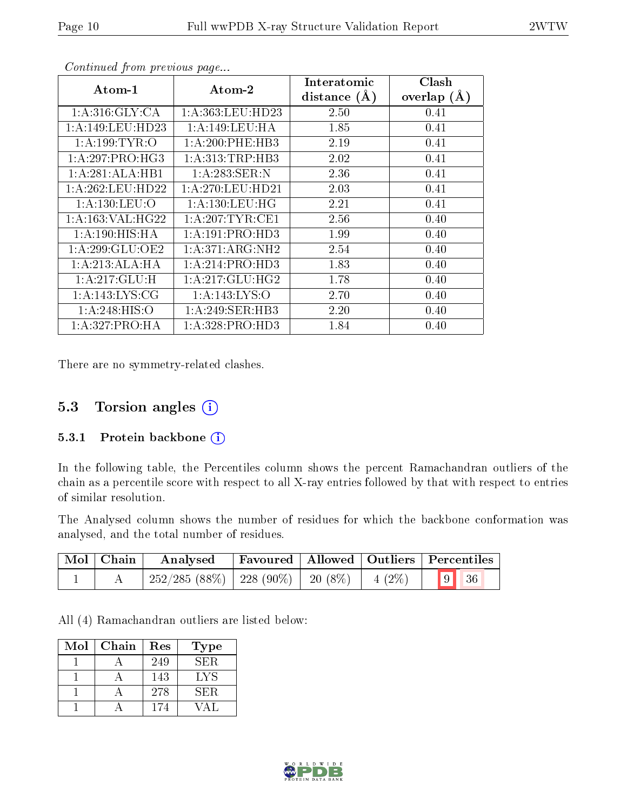| Atom-1               | Atom-2                      | Interatomic    | Clash                                                                                                                         |
|----------------------|-----------------------------|----------------|-------------------------------------------------------------------------------------------------------------------------------|
|                      |                             | distance $(A)$ | overlap $(A)$<br>0.41<br>0.41<br>0.41<br>0.41<br>0.41<br>0.41<br>0.41<br>0.40<br>0.40<br>0.40<br>0.40<br>0.40<br>0.40<br>0.40 |
| 1: A:316: GLY: CA    | 1:A:363:LEU:HD23            | 2.50           |                                                                                                                               |
| 1: A:149: LEU: HD23  | 1: A:149:LEU:HA             | 1.85           |                                                                                                                               |
| 1: A: 199: TYR: O    | 1: A:200:PHE:HB3            | 2.19           |                                                                                                                               |
| 1: A:297: PRO:HG3    | 1: A: 313: TRP: HB3         | 2.02           |                                                                                                                               |
| 1:A:281:ALA:HB1      | 1:A:283:SER:N               | 2.36           |                                                                                                                               |
| 1: A:262:LEU:HD22    | 1: A:270:LEU:HD21           | 2.03           |                                                                                                                               |
| 1: A: 130: LEU: O    | 1: A: 130: LEU: HG          | 2.21           |                                                                                                                               |
| 1: A: 163: VAL: HG22 | 1: A:207:TYR:CE1            | 2.56           |                                                                                                                               |
| 1: A:190:HIS:HA      | 1:A:191:PRO:HD3             | 1.99           |                                                                                                                               |
| 1:A:299:GLU:OE2      | 1:A:371:ARG:NH2             | 2.54           |                                                                                                                               |
| 1:A:213:ALA:HA       | 1:A:214:PRO:H <sub>D3</sub> | 1.83           |                                                                                                                               |
| 1: A:217: GLU: H     | 1:A:217:GLU:HG2             | 1.78           |                                                                                                                               |
| 1: A:143: LYS: CG    | 1: A:143: LYS:O             | 2.70           |                                                                                                                               |
| 1: A:248: HIS:O      | 1:A:249:SER:HB3             | 2.20           |                                                                                                                               |
| 1:A:327:PRO:HA       | 1:A:328:PRO:HD3             | 1.84           | 0.40                                                                                                                          |

Continued from previous page...

There are no symmetry-related clashes.

### 5.3 Torsion angles  $(i)$

#### 5.3.1 Protein backbone (i)

In the following table, the Percentiles column shows the percent Ramachandran outliers of the chain as a percentile score with respect to all X-ray entries followed by that with respect to entries of similar resolution.

The Analysed column shows the number of residues for which the backbone conformation was analysed, and the total number of residues.

| Mol   Chain | Analysed                                                 |  | Favoured   Allowed   Outliers   Percentiles |
|-------------|----------------------------------------------------------|--|---------------------------------------------|
|             | $^+$ 252/285 (88%)   228 (90%)   20 (8%)   4 (2%)   9 36 |  |                                             |

All (4) Ramachandran outliers are listed below:

| Mol | Chain | Res | <b>Type</b> |
|-----|-------|-----|-------------|
|     |       | 249 | SER.        |
|     |       | 143 | LYS         |
|     |       | 278 | SER.        |
|     |       | 174 |             |

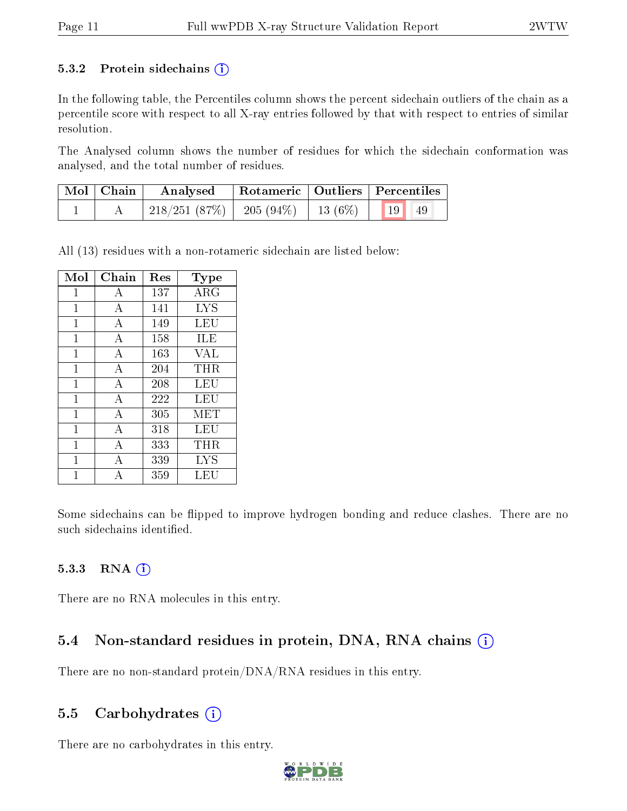#### 5.3.2 Protein sidechains  $(i)$

In the following table, the Percentiles column shows the percent sidechain outliers of the chain as a percentile score with respect to all X-ray entries followed by that with respect to entries of similar resolution.

The Analysed column shows the number of residues for which the sidechain conformation was analysed, and the total number of residues.

| $\mid$ Mol $\mid$ Chain $\mid$ | Analysed                                           | Rotameric   Outliers   Percentiles |  |  |
|--------------------------------|----------------------------------------------------|------------------------------------|--|--|
|                                | $218/251$ (87\%)   205 (94\%)   13 (6\%)   19   49 |                                    |  |  |

All (13) residues with a non-rotameric sidechain are listed below:

| Mol         | ${\rm Chain}$ | Res | Type       |
|-------------|---------------|-----|------------|
| 1           | А             | 137 | $\rm{ARG}$ |
| 1           | А             | 141 | <b>LYS</b> |
| 1           | A             | 149 | LEU        |
| 1           | $\bf{A}$      | 158 | ILE        |
| 1           | А             | 163 | VAL        |
| 1           | А             | 204 | THR        |
| 1           | A             | 208 | LEU        |
| 1           | А             | 222 | LEU        |
| $\mathbf 1$ | А             | 305 | MET        |
| 1           | A             | 318 | LEU        |
| 1           | А             | 333 | THR.       |
| 1           | А             | 339 | <b>LYS</b> |
|             | А             | 359 | LEU        |

Some sidechains can be flipped to improve hydrogen bonding and reduce clashes. There are no such sidechains identified.

#### 5.3.3 RNA (i)

There are no RNA molecules in this entry.

### 5.4 Non-standard residues in protein, DNA, RNA chains (i)

There are no non-standard protein/DNA/RNA residues in this entry.

#### 5.5 Carbohydrates (i)

There are no carbohydrates in this entry.

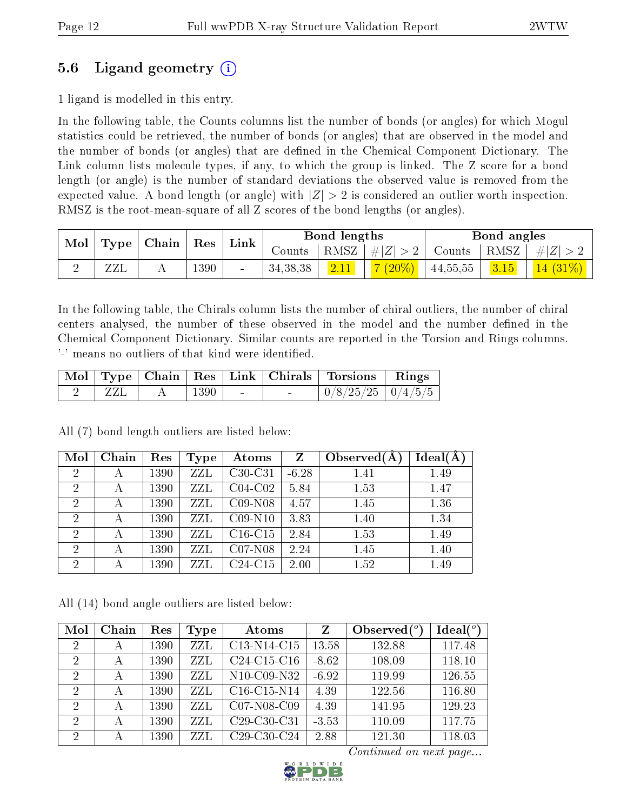### 5.6 Ligand geometry (i)

1 ligand is modelled in this entry.

In the following table, the Counts columns list the number of bonds (or angles) for which Mogul statistics could be retrieved, the number of bonds (or angles) that are observed in the model and the number of bonds (or angles) that are dened in the Chemical Component Dictionary. The Link column lists molecule types, if any, to which the group is linked. The Z score for a bond length (or angle) is the number of standard deviations the observed value is removed from the expected value. A bond length (or angle) with  $|Z| > 2$  is considered an outlier worth inspection. RMSZ is the root-mean-square of all Z scores of the bond lengths (or angles).

| Mol | $\perp$ Type $\perp$ | ' Chain | Res      | Link   |            | Bond lengths |                                |          | Bond angles      |           |
|-----|----------------------|---------|----------|--------|------------|--------------|--------------------------------|----------|------------------|-----------|
|     |                      |         |          |        | Counts     |              | RMSZ $ #Z  > 2$                | Counts   | $ RMSZ $ # $ Z $ |           |
|     | ZZL                  |         | $1390\,$ | $\sim$ | 34, 38, 38 | 2.11         | $(20\%)$<br>$H_{\overline{Z}}$ | 44,55,55 | 3.15             | (14 (31%) |

In the following table, the Chirals column lists the number of chiral outliers, the number of chiral centers analysed, the number of these observed in the model and the number defined in the Chemical Component Dictionary. Similar counts are reported in the Torsion and Rings columns. '-' means no outliers of that kind were identified.

|  |      |        | Mol   Type   Chain   Res   Link   Chirals   Torsions   Rings |  |
|--|------|--------|--------------------------------------------------------------|--|
|  | 1390 | $\sim$ | $\mid 0/8/25/25 \mid 0/4/5/5 \mid$                           |  |

All (7) bond length outliers are listed below:

| Mol            | Chain | Res  | Type | Atoms     | Z       | Observed $(A$ | Ideal(A) |
|----------------|-------|------|------|-----------|---------|---------------|----------|
| $\overline{2}$ | А     | 1390 | ZZL  | $C30-C31$ | $-6.28$ | 1.41          | 1.49     |
| $\overline{2}$ | А     | 1390 | ZZL  | $C04-C02$ | 5.84    | 1.53          | 1.47     |
| $\overline{2}$ | А     | 1390 | ZZL  | $C09-N08$ | 4.57    | 1.45          | 1.36     |
| $\overline{2}$ |       | 1390 | ZZL  | $C09-N10$ | 3.83    | 1.40          | 1.34     |
| $\overline{2}$ | А     | 1390 | ZZL  | $C16-C15$ | 2.84    | 1.53          | 1.49     |
| $\overline{2}$ |       | 1390 | ZZL  | $C07-N08$ | 2.24    | 1.45          | 1.40     |
| $\overline{2}$ |       | 1390 | ZZL  | $C24-C15$ | 2.00    | 1.52          | 1.49     |

All (14) bond angle outliers are listed below:

| Mol            | Chain | Res  | Type | Atoms                                             | Z       | Observed $(°)$ | $Ideal(^o)$ |
|----------------|-------|------|------|---------------------------------------------------|---------|----------------|-------------|
| $\overline{2}$ | А     | 1390 | ZZL  | C13-N14-C15                                       | 13.58   | 132.88         | 117.48      |
| $\overline{2}$ | А     | 1390 | ZZL  | $C24-C15-C16$                                     | $-8.62$ | 108.09         | 118.10      |
| $\overline{2}$ | А     | 1390 | ZZL  | N <sub>10</sub> -C <sub>09</sub> -N <sub>32</sub> | $-6.92$ | 119.99         | 126.55      |
| $\overline{2}$ | А     | 1390 | ZZL  | $C16-C15-N14$                                     | 4.39    | 122.56         | 116.80      |
| $\mathcal{D}$  | А     | 1390 | ZZL  | $C07-N08-C09$                                     | 4.39    | 141.95         | 129.23      |
| 2              | А     | 1390 | ZZL  | C <sub>29</sub> -C <sub>30</sub> -C <sub>31</sub> | $-3.53$ | 110.09         | 117.75      |
| $\overline{2}$ | А     | 1390 | ZZL  | C <sub>29</sub> -C <sub>30</sub> -C <sub>24</sub> | 2.88    | 121.30         | 118.03      |

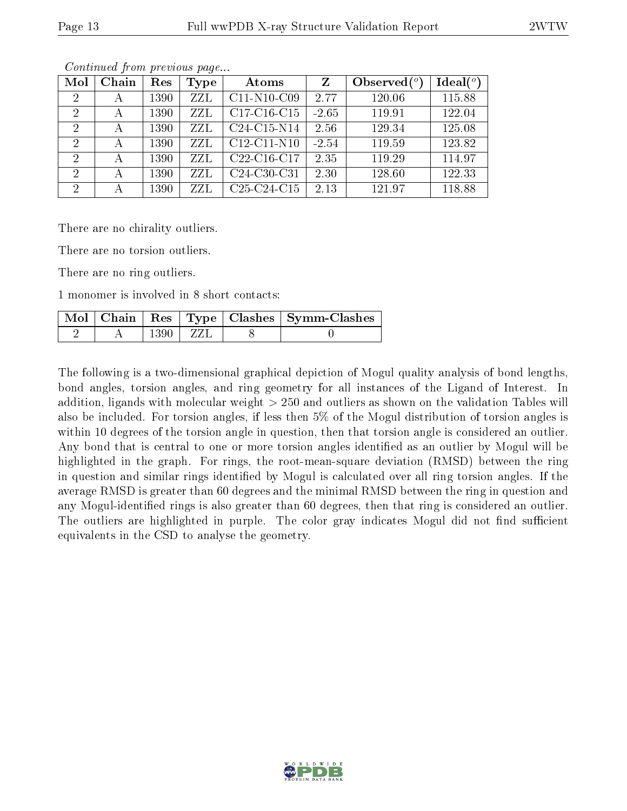| Mol            | Chain | Res  | Type | Atoms                                             | Z       | Observed $(°)$ | Ideal $(°)$ |
|----------------|-------|------|------|---------------------------------------------------|---------|----------------|-------------|
| $\overline{2}$ | А     | 1390 | ZZL  | $C11-N10-C09$                                     | 2.77    | 120.06         | 115.88      |
| 2              | А     | 1390 | ZZL  | C17-C16-C15                                       | $-2.65$ | 119.91         | 122.04      |
| $\overline{2}$ | А     | 1390 | ZZL  | C24-C15-N14                                       | 2.56    | 129.34         | 125.08      |
| 2              | А     | 1390 | ZZL  | $C12-C11-N10$                                     | $-2.54$ | 119.59         | 123.82      |
| 2              | А     | 1390 | ZZL  | C <sub>22</sub> -C <sub>16</sub> -C <sub>17</sub> | 2.35    | 119.29         | 114.97      |
| $\overline{2}$ | А     | 1390 | ZZL  | C24-C30-C31                                       | 2.30    | 128.60         | 122.33      |
| 2              |       | 1390 | ZZL  | C <sub>25</sub> -C <sub>24</sub> -C <sub>15</sub> | 2.13    | 121.97         | 118.88      |

Continued from previous page...

There are no chirality outliers.

There are no torsion outliers.

There are no ring outliers.

1 monomer is involved in 8 short contacts:

|  |       |  | Mol   Chain   Res   Type   Clashes   Symm-Clashes |
|--|-------|--|---------------------------------------------------|
|  | 1390- |  |                                                   |

The following is a two-dimensional graphical depiction of Mogul quality analysis of bond lengths, bond angles, torsion angles, and ring geometry for all instances of the Ligand of Interest. In addition, ligands with molecular weight > 250 and outliers as shown on the validation Tables will also be included. For torsion angles, if less then 5% of the Mogul distribution of torsion angles is within 10 degrees of the torsion angle in question, then that torsion angle is considered an outlier. Any bond that is central to one or more torsion angles identified as an outlier by Mogul will be highlighted in the graph. For rings, the root-mean-square deviation (RMSD) between the ring in question and similar rings identified by Mogul is calculated over all ring torsion angles. If the average RMSD is greater than 60 degrees and the minimal RMSD between the ring in question and any Mogul-identified rings is also greater than 60 degrees, then that ring is considered an outlier. The outliers are highlighted in purple. The color gray indicates Mogul did not find sufficient equivalents in the CSD to analyse the geometry.

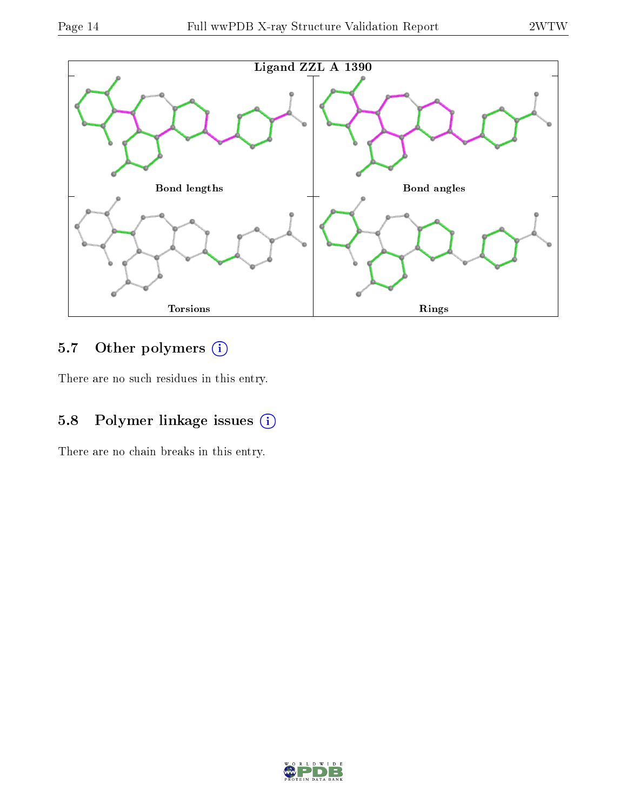

## 5.7 [O](https://www.wwpdb.org/validation/2017/XrayValidationReportHelp#nonstandard_residues_and_ligands)ther polymers (i)

There are no such residues in this entry.

## 5.8 Polymer linkage issues (i)

There are no chain breaks in this entry.

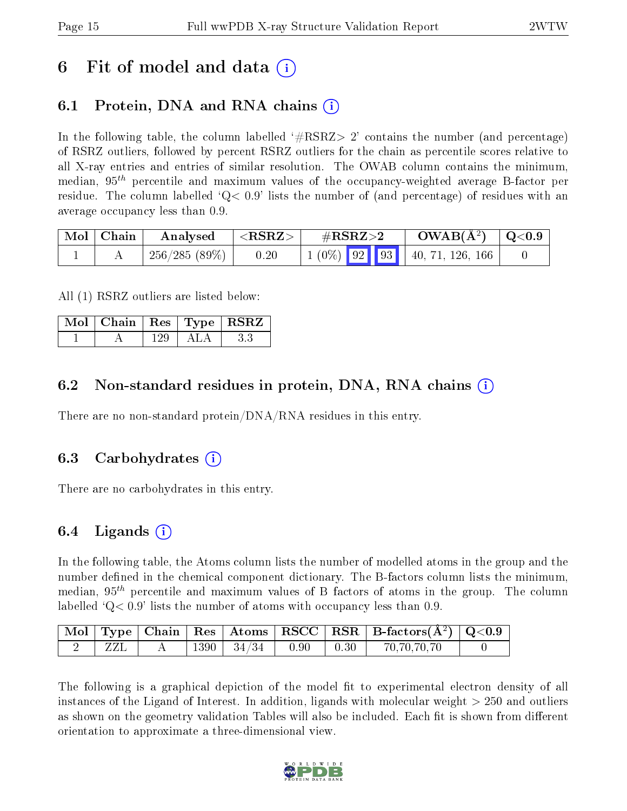## 6 Fit of model and data  $\left( \cdot \right)$

### 6.1 Protein, DNA and RNA chains (i)

In the following table, the column labelled  $#RSRZ>2'$  contains the number (and percentage) of RSRZ outliers, followed by percent RSRZ outliers for the chain as percentile scores relative to all X-ray entries and entries of similar resolution. The OWAB column contains the minimum, median,  $95<sup>th</sup>$  percentile and maximum values of the occupancy-weighted average B-factor per residue. The column labelled  $Q < 0.9$  lists the number of (and percentage) of residues with an average occupancy less than 0.9.

| $\vert$ Mol $\vert$ Chain | Analysed     | $^+$ <rsrz></rsrz> | $\#\text{RSRZ}\text{>2}$ | $\rm{OWAB}(\rm{\AA}^2)$   Q<0.9 |  |
|---------------------------|--------------|--------------------|--------------------------|---------------------------------|--|
|                           | 256/285(89%) | 0.20               |                          |                                 |  |

All (1) RSRZ outliers are listed below:

| $\mid$ Mol $\mid$ Chain $\mid$ Res $\mid$ Type $\mid$ RSRZ |     |                       |  |
|------------------------------------------------------------|-----|-----------------------|--|
|                                                            | 129 | $\Delta$ I . $\Delta$ |  |

#### 6.2 Non-standard residues in protein, DNA, RNA chains (i)

There are no non-standard protein/DNA/RNA residues in this entry.

#### 6.3 Carbohydrates (i)

There are no carbohydrates in this entry.

#### 6.4 Ligands  $(i)$

In the following table, the Atoms column lists the number of modelled atoms in the group and the number defined in the chemical component dictionary. The B-factors column lists the minimum, median,  $95<sup>th</sup>$  percentile and maximum values of B factors of atoms in the group. The column labelled  $Q< 0.9$  lists the number of atoms with occupancy less than 0.9.

|  |        |       |      |      | $\mid$ Mol $\mid$ Type $\mid$ Chain $\mid$ Res $\mid$ Atoms $\mid$ RSCC $\mid$ RSR $\mid$ B-factors(A <sup>2</sup> ) $\mid$ Q<0.9 |  |
|--|--------|-------|------|------|-----------------------------------------------------------------------------------------------------------------------------------|--|
|  | $1390$ | 34/34 | 0.90 | 0.30 | 70,70,70,70                                                                                                                       |  |

The following is a graphical depiction of the model fit to experimental electron density of all instances of the Ligand of Interest. In addition, ligands with molecular weight  $> 250$  and outliers as shown on the geometry validation Tables will also be included. Each fit is shown from different orientation to approximate a three-dimensional view.